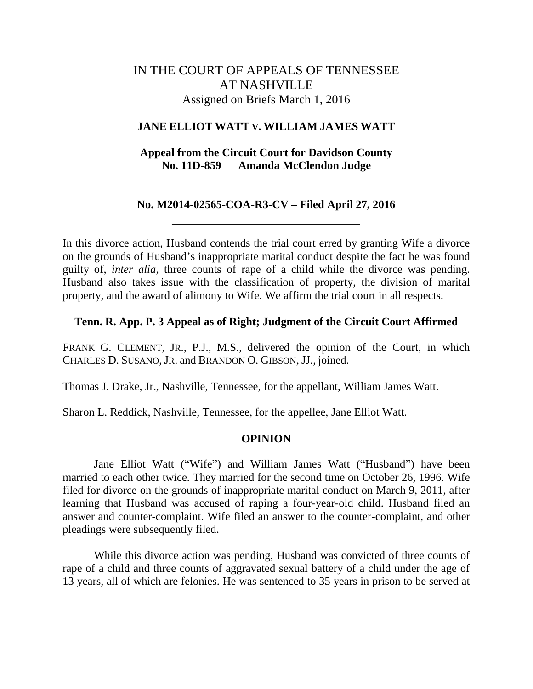# IN THE COURT OF APPEALS OF TENNESSEE AT NASHVILLE Assigned on Briefs March 1, 2016

#### **JANE ELLIOT WATT V. WILLIAM JAMES WATT**

## **Appeal from the Circuit Court for Davidson County No. 11D-859 Amanda McClendon Judge**

## **No. M2014-02565-COA-R3-CV – Filed April 27, 2016**

In this divorce action, Husband contends the trial court erred by granting Wife a divorce on the grounds of Husband"s inappropriate marital conduct despite the fact he was found guilty of, *inter alia*, three counts of rape of a child while the divorce was pending. Husband also takes issue with the classification of property, the division of marital property, and the award of alimony to Wife. We affirm the trial court in all respects.

#### **Tenn. R. App. P. 3 Appeal as of Right; Judgment of the Circuit Court Affirmed**

FRANK G. CLEMENT, JR., P.J., M.S., delivered the opinion of the Court, in which CHARLES D. SUSANO, JR. and BRANDON O. GIBSON, JJ., joined.

Thomas J. Drake, Jr., Nashville, Tennessee, for the appellant, William James Watt.

Sharon L. Reddick, Nashville, Tennessee, for the appellee, Jane Elliot Watt.

## **OPINION**

Jane Elliot Watt ("Wife") and William James Watt ("Husband") have been married to each other twice. They married for the second time on October 26, 1996. Wife filed for divorce on the grounds of inappropriate marital conduct on March 9, 2011, after learning that Husband was accused of raping a four-year-old child. Husband filed an answer and counter-complaint. Wife filed an answer to the counter-complaint, and other pleadings were subsequently filed.

While this divorce action was pending, Husband was convicted of three counts of rape of a child and three counts of aggravated sexual battery of a child under the age of 13 years, all of which are felonies. He was sentenced to 35 years in prison to be served at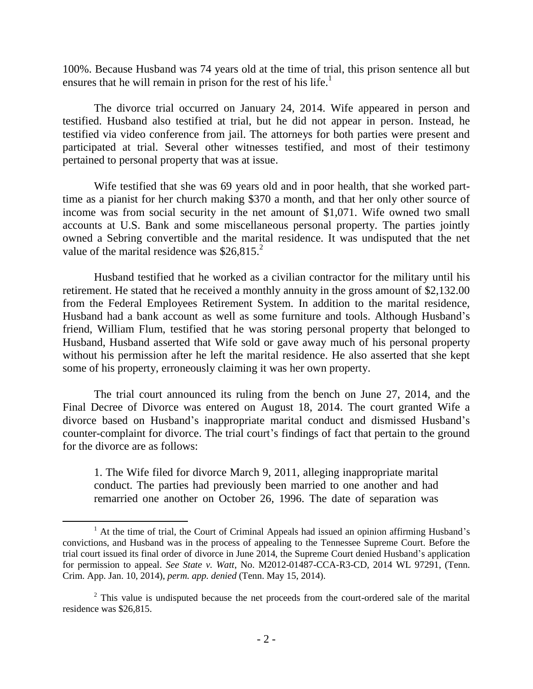100%. Because Husband was 74 years old at the time of trial, this prison sentence all but ensures that he will remain in prison for the rest of his life.<sup>1</sup>

The divorce trial occurred on January 24, 2014. Wife appeared in person and testified. Husband also testified at trial, but he did not appear in person. Instead, he testified via video conference from jail. The attorneys for both parties were present and participated at trial. Several other witnesses testified, and most of their testimony pertained to personal property that was at issue.

Wife testified that she was 69 years old and in poor health, that she worked parttime as a pianist for her church making \$370 a month, and that her only other source of income was from social security in the net amount of \$1,071. Wife owned two small accounts at U.S. Bank and some miscellaneous personal property. The parties jointly owned a Sebring convertible and the marital residence. It was undisputed that the net value of the marital residence was  $$26,815.^2$ 

Husband testified that he worked as a civilian contractor for the military until his retirement. He stated that he received a monthly annuity in the gross amount of \$2,132.00 from the Federal Employees Retirement System. In addition to the marital residence, Husband had a bank account as well as some furniture and tools. Although Husband"s friend, William Flum, testified that he was storing personal property that belonged to Husband, Husband asserted that Wife sold or gave away much of his personal property without his permission after he left the marital residence. He also asserted that she kept some of his property, erroneously claiming it was her own property.

The trial court announced its ruling from the bench on June 27, 2014, and the Final Decree of Divorce was entered on August 18, 2014. The court granted Wife a divorce based on Husband"s inappropriate marital conduct and dismissed Husband"s counter-complaint for divorce. The trial court's findings of fact that pertain to the ground for the divorce are as follows:

1. The Wife filed for divorce March 9, 2011, alleging inappropriate marital conduct. The parties had previously been married to one another and had remarried one another on October 26, 1996. The date of separation was

 $<sup>1</sup>$  At the time of trial, the Court of Criminal Appeals had issued an opinion affirming Husband's</sup> convictions, and Husband was in the process of appealing to the Tennessee Supreme Court. Before the trial court issued its final order of divorce in June 2014, the Supreme Court denied Husband"s application for permission to appeal. *See State v. Watt*, No. M2012-01487-CCA-R3-CD, 2014 WL 97291, (Tenn. Crim. App. Jan. 10, 2014), *perm. app. denied* (Tenn. May 15, 2014).

 $2$ . This value is undisputed because the net proceeds from the court-ordered sale of the marital residence was \$26,815.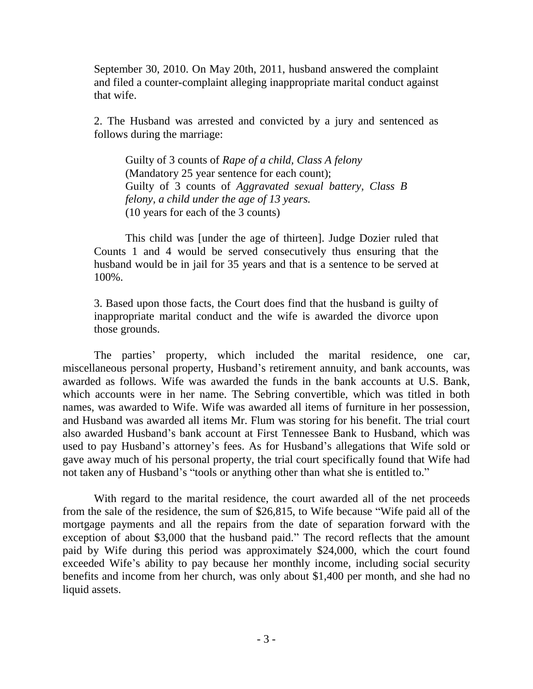September 30, 2010. On May 20th, 2011, husband answered the complaint and filed a counter-complaint alleging inappropriate marital conduct against that wife.

2. The Husband was arrested and convicted by a jury and sentenced as follows during the marriage:

Guilty of 3 counts of *Rape of a child, Class A felony* (Mandatory 25 year sentence for each count); Guilty of 3 counts of *Aggravated sexual battery, Class B felony, a child under the age of 13 years.* (10 years for each of the 3 counts)

This child was [under the age of thirteen]. Judge Dozier ruled that Counts 1 and 4 would be served consecutively thus ensuring that the husband would be in jail for 35 years and that is a sentence to be served at 100%.

3. Based upon those facts, the Court does find that the husband is guilty of inappropriate marital conduct and the wife is awarded the divorce upon those grounds.

The parties' property, which included the marital residence, one car, miscellaneous personal property, Husband"s retirement annuity, and bank accounts, was awarded as follows. Wife was awarded the funds in the bank accounts at U.S. Bank, which accounts were in her name. The Sebring convertible, which was titled in both names, was awarded to Wife. Wife was awarded all items of furniture in her possession, and Husband was awarded all items Mr. Flum was storing for his benefit. The trial court also awarded Husband"s bank account at First Tennessee Bank to Husband, which was used to pay Husband's attorney's fees. As for Husband's allegations that Wife sold or gave away much of his personal property, the trial court specifically found that Wife had not taken any of Husband's "tools or anything other than what she is entitled to."

With regard to the marital residence, the court awarded all of the net proceeds from the sale of the residence, the sum of \$26,815, to Wife because "Wife paid all of the mortgage payments and all the repairs from the date of separation forward with the exception of about \$3,000 that the husband paid." The record reflects that the amount paid by Wife during this period was approximately \$24,000, which the court found exceeded Wife's ability to pay because her monthly income, including social security benefits and income from her church, was only about \$1,400 per month, and she had no liquid assets.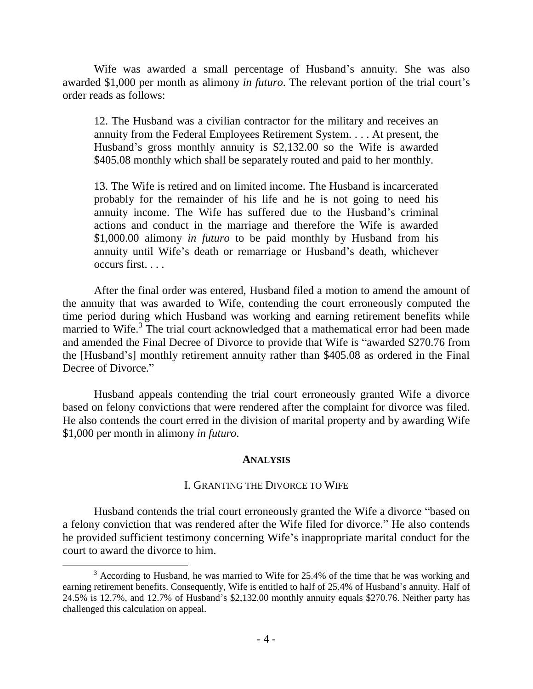Wife was awarded a small percentage of Husband's annuity. She was also awarded \$1,000 per month as alimony *in futuro*. The relevant portion of the trial court's order reads as follows:

12. The Husband was a civilian contractor for the military and receives an annuity from the Federal Employees Retirement System. . . . At present, the Husband"s gross monthly annuity is \$2,132.00 so the Wife is awarded \$405.08 monthly which shall be separately routed and paid to her monthly.

13. The Wife is retired and on limited income. The Husband is incarcerated probably for the remainder of his life and he is not going to need his annuity income. The Wife has suffered due to the Husband"s criminal actions and conduct in the marriage and therefore the Wife is awarded \$1,000.00 alimony *in futuro* to be paid monthly by Husband from his annuity until Wife's death or remarriage or Husband's death, whichever occurs first. . . .

After the final order was entered, Husband filed a motion to amend the amount of the annuity that was awarded to Wife, contending the court erroneously computed the time period during which Husband was working and earning retirement benefits while married to Wife.<sup>3</sup> The trial court acknowledged that a mathematical error had been made and amended the Final Decree of Divorce to provide that Wife is "awarded \$270.76 from the [Husband"s] monthly retirement annuity rather than \$405.08 as ordered in the Final Decree of Divorce."

Husband appeals contending the trial court erroneously granted Wife a divorce based on felony convictions that were rendered after the complaint for divorce was filed. He also contends the court erred in the division of marital property and by awarding Wife \$1,000 per month in alimony *in futuro*.

#### **ANALYSIS**

## I. GRANTING THE DIVORCE TO WIFE

Husband contends the trial court erroneously granted the Wife a divorce "based on a felony conviction that was rendered after the Wife filed for divorce." He also contends he provided sufficient testimony concerning Wife"s inappropriate marital conduct for the court to award the divorce to him.

 $3$  According to Husband, he was married to Wife for 25.4% of the time that he was working and earning retirement benefits. Consequently, Wife is entitled to half of 25.4% of Husband"s annuity. Half of 24.5% is 12.7%, and 12.7% of Husband"s \$2,132.00 monthly annuity equals \$270.76. Neither party has challenged this calculation on appeal.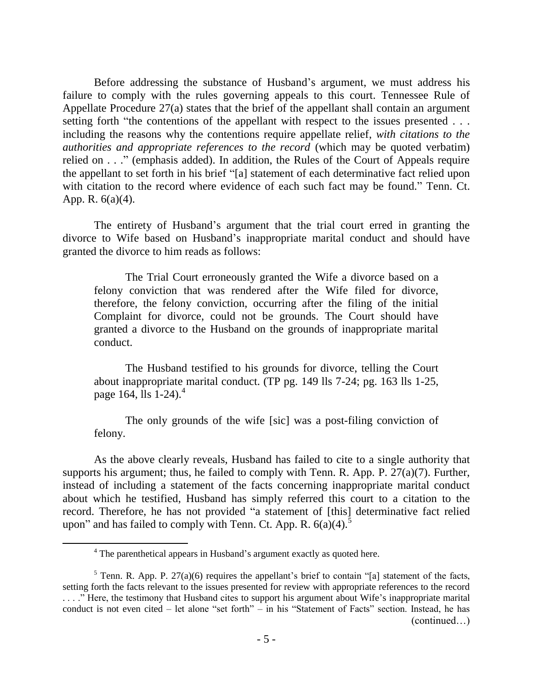Before addressing the substance of Husband's argument, we must address his failure to comply with the rules governing appeals to this court. Tennessee Rule of Appellate Procedure 27(a) states that the brief of the appellant shall contain an argument setting forth "the contentions of the appellant with respect to the issues presented . . . including the reasons why the contentions require appellate relief, *with citations to the authorities and appropriate references to the record* (which may be quoted verbatim) relied on . . ." (emphasis added). In addition, the Rules of the Court of Appeals require the appellant to set forth in his brief "[a] statement of each determinative fact relied upon with citation to the record where evidence of each such fact may be found." Tenn. Ct. App. R. 6(a)(4).

The entirety of Husband"s argument that the trial court erred in granting the divorce to Wife based on Husband"s inappropriate marital conduct and should have granted the divorce to him reads as follows:

The Trial Court erroneously granted the Wife a divorce based on a felony conviction that was rendered after the Wife filed for divorce, therefore, the felony conviction, occurring after the filing of the initial Complaint for divorce, could not be grounds. The Court should have granted a divorce to the Husband on the grounds of inappropriate marital conduct.

The Husband testified to his grounds for divorce, telling the Court about inappropriate marital conduct. (TP pg. 149 lls 7-24; pg. 163 lls 1-25, page 164, lls 1-24). 4

The only grounds of the wife [sic] was a post-filing conviction of felony.

As the above clearly reveals, Husband has failed to cite to a single authority that supports his argument; thus, he failed to comply with Tenn. R. App. P. 27(a)(7). Further, instead of including a statement of the facts concerning inappropriate marital conduct about which he testified, Husband has simply referred this court to a citation to the record. Therefore, he has not provided "a statement of [this] determinative fact relied upon" and has failed to comply with Tenn. Ct. App. R.  $6(a)(4)$ .<sup>5</sup>

<sup>&</sup>lt;sup>4</sup> The parenthetical appears in Husband's argument exactly as quoted here.

 $5$  Tenn. R. App. P. 27(a)(6) requires the appellant's brief to contain "[a] statement of the facts, setting forth the facts relevant to the issues presented for review with appropriate references to the record . . . . " Here, the testimony that Husband cites to support his argument about Wife's inappropriate marital conduct is not even cited – let alone "set forth" – in his "Statement of Facts" section. Instead, he has (continued…)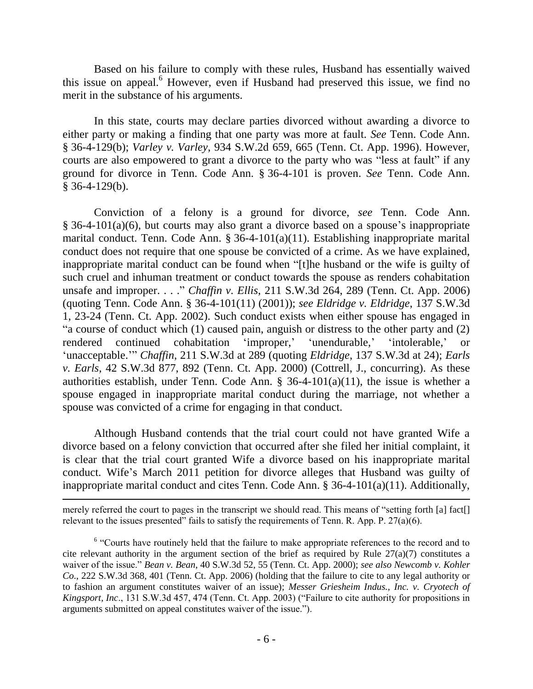Based on his failure to comply with these rules, Husband has essentially waived this issue on appeal. <sup>6</sup> However, even if Husband had preserved this issue, we find no merit in the substance of his arguments.

In this state, courts may declare parties divorced without awarding a divorce to either party or making a finding that one party was more at fault. *See* Tenn. Code Ann. § 36-4-129(b); *Varley v. Varley*, 934 S.W.2d 659, 665 (Tenn. Ct. App. 1996). However, courts are also empowered to grant a divorce to the party who was "less at fault" if any ground for divorce in Tenn. Code Ann. § 36-4-101 is proven. *See* Tenn. Code Ann. § 36-4-129(b).

Conviction of a felony is a ground for divorce, *see* Tenn. Code Ann.  $§$  36-4-101(a)(6), but courts may also grant a divorce based on a spouse's inappropriate marital conduct. Tenn. Code Ann. § 36-4-101(a)(11). Establishing inappropriate marital conduct does not require that one spouse be convicted of a crime. As we have explained, inappropriate marital conduct can be found when "[t]he husband or the wife is guilty of such cruel and inhuman treatment or conduct towards the spouse as renders cohabitation unsafe and improper. . . ." *Chaffin v. Ellis*, 211 S.W.3d 264, 289 (Tenn. Ct. App. 2006) (quoting Tenn. Code Ann. § 36-4-101(11) (2001)); *see Eldridge v. Eldridge*, 137 S.W.3d 1, 23-24 (Tenn. Ct. App. 2002). Such conduct exists when either spouse has engaged in "a course of conduct which (1) caused pain, anguish or distress to the other party and (2) rendered continued cohabitation 'improper,' 'unendurable,' 'intolerable,' "unacceptable."" *Chaffin*, 211 S.W.3d at 289 (quoting *Eldridge*, 137 S.W.3d at 24); *Earls v. Earls*, 42 S.W.3d 877, 892 (Tenn. Ct. App. 2000) (Cottrell, J., concurring). As these authorities establish, under Tenn. Code Ann. § 36-4-101(a)(11), the issue is whether a spouse engaged in inappropriate marital conduct during the marriage, not whether a spouse was convicted of a crime for engaging in that conduct.

Although Husband contends that the trial court could not have granted Wife a divorce based on a felony conviction that occurred after she filed her initial complaint, it is clear that the trial court granted Wife a divorce based on his inappropriate marital conduct. Wife"s March 2011 petition for divorce alleges that Husband was guilty of inappropriate marital conduct and cites Tenn. Code Ann. § 36-4-101(a)(11). Additionally,

merely referred the court to pages in the transcript we should read. This means of "setting forth [a] fact[] relevant to the issues presented" fails to satisfy the requirements of Tenn. R. App. P.  $27(a)(6)$ .

<sup>&</sup>lt;sup>6</sup> "Courts have routinely held that the failure to make appropriate references to the record and to cite relevant authority in the argument section of the brief as required by Rule  $27(a)(7)$  constitutes a waiver of the issue." *Bean v. Bean*, 40 S.W.3d 52, 55 (Tenn. Ct. App. 2000); *see also Newcomb v. Kohler Co*., 222 S.W.3d 368, 401 (Tenn. Ct. App. 2006) (holding that the failure to cite to any legal authority or to fashion an argument constitutes waiver of an issue); *Messer Griesheim Indus., Inc. v. Cryotech of Kingsport, Inc*., 131 S.W.3d 457, 474 (Tenn. Ct. App. 2003) ("Failure to cite authority for propositions in arguments submitted on appeal constitutes waiver of the issue.").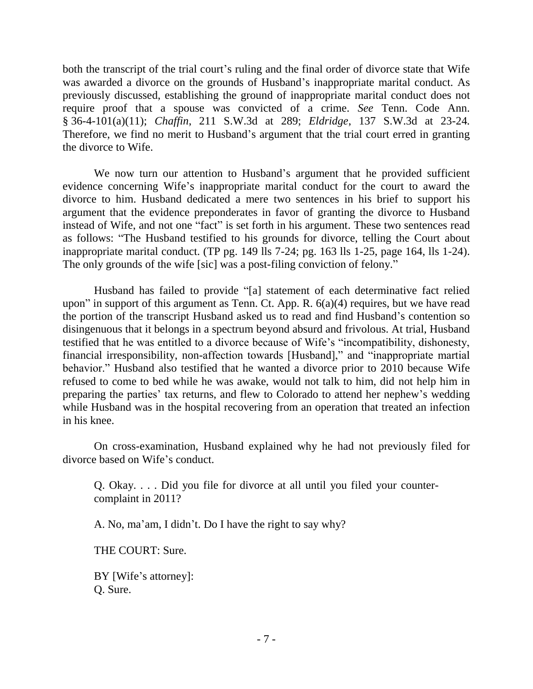both the transcript of the trial court's ruling and the final order of divorce state that Wife was awarded a divorce on the grounds of Husband's inappropriate marital conduct. As previously discussed, establishing the ground of inappropriate marital conduct does not require proof that a spouse was convicted of a crime. *See* Tenn. Code Ann. § 36-4-101(a)(11); *Chaffin*, 211 S.W.3d at 289; *Eldridge*, 137 S.W.3d at 23-24*.*  Therefore, we find no merit to Husband"s argument that the trial court erred in granting the divorce to Wife.

We now turn our attention to Husband's argument that he provided sufficient evidence concerning Wife's inappropriate marital conduct for the court to award the divorce to him. Husband dedicated a mere two sentences in his brief to support his argument that the evidence preponderates in favor of granting the divorce to Husband instead of Wife, and not one "fact" is set forth in his argument. These two sentences read as follows: "The Husband testified to his grounds for divorce, telling the Court about inappropriate marital conduct. (TP pg. 149 lls 7-24; pg. 163 lls 1-25, page 164, lls 1-24). The only grounds of the wife [sic] was a post-filing conviction of felony."

Husband has failed to provide "[a] statement of each determinative fact relied upon" in support of this argument as Tenn. Ct. App. R.  $6(a)(4)$  requires, but we have read the portion of the transcript Husband asked us to read and find Husband"s contention so disingenuous that it belongs in a spectrum beyond absurd and frivolous. At trial, Husband testified that he was entitled to a divorce because of Wife"s "incompatibility, dishonesty, financial irresponsibility, non-affection towards [Husband]," and "inappropriate martial behavior." Husband also testified that he wanted a divorce prior to 2010 because Wife refused to come to bed while he was awake, would not talk to him, did not help him in preparing the parties" tax returns, and flew to Colorado to attend her nephew"s wedding while Husband was in the hospital recovering from an operation that treated an infection in his knee.

On cross-examination, Husband explained why he had not previously filed for divorce based on Wife's conduct.

Q. Okay. . . . Did you file for divorce at all until you filed your countercomplaint in 2011?

A. No, ma"am, I didn"t. Do I have the right to say why?

THE COURT: Sure.

BY [Wife's attorney]: Q. Sure.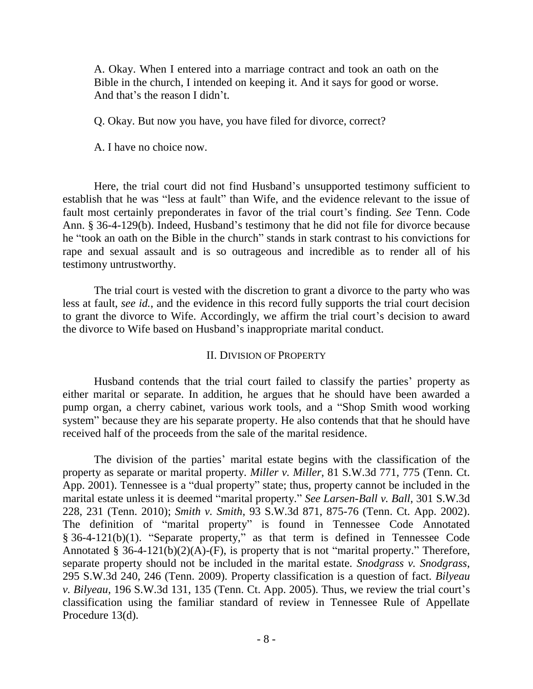A. Okay. When I entered into a marriage contract and took an oath on the Bible in the church, I intended on keeping it. And it says for good or worse. And that's the reason I didn't.

Q. Okay. But now you have, you have filed for divorce, correct?

A. I have no choice now.

Here, the trial court did not find Husband"s unsupported testimony sufficient to establish that he was "less at fault" than Wife, and the evidence relevant to the issue of fault most certainly preponderates in favor of the trial court"s finding. *See* Tenn. Code Ann. § 36-4-129(b). Indeed, Husband"s testimony that he did not file for divorce because he "took an oath on the Bible in the church" stands in stark contrast to his convictions for rape and sexual assault and is so outrageous and incredible as to render all of his testimony untrustworthy.

The trial court is vested with the discretion to grant a divorce to the party who was less at fault, *see id.*, and the evidence in this record fully supports the trial court decision to grant the divorce to Wife. Accordingly, we affirm the trial court's decision to award the divorce to Wife based on Husband"s inappropriate marital conduct.

## II. DIVISION OF PROPERTY

Husband contends that the trial court failed to classify the parties' property as either marital or separate. In addition, he argues that he should have been awarded a pump organ, a cherry cabinet, various work tools, and a "Shop Smith wood working system" because they are his separate property. He also contends that that he should have received half of the proceeds from the sale of the marital residence.

The division of the parties' marital estate begins with the classification of the property as separate or marital property. *Miller v. Miller*, 81 S.W.3d 771, 775 (Tenn. Ct. App. 2001). Tennessee is a "dual property" state; thus, property cannot be included in the marital estate unless it is deemed "marital property." *See Larsen-Ball v. Ball*, 301 S.W.3d 228, 231 (Tenn. 2010); *Smith v. Smith*, 93 S.W.3d 871, 875-76 (Tenn. Ct. App. 2002). The definition of "marital property" is found in Tennessee Code Annotated § 36-4-121(b)(1). "Separate property," as that term is defined in Tennessee Code Annotated § 36-4-121(b)(2)(A)-(F), is property that is not "marital property." Therefore, separate property should not be included in the marital estate. *Snodgrass v. Snodgrass*, 295 S.W.3d 240, 246 (Tenn. 2009). Property classification is a question of fact. *Bilyeau v. Bilyeau*, 196 S.W.3d 131, 135 (Tenn. Ct. App. 2005). Thus, we review the trial court"s classification using the familiar standard of review in Tennessee Rule of Appellate Procedure 13(d).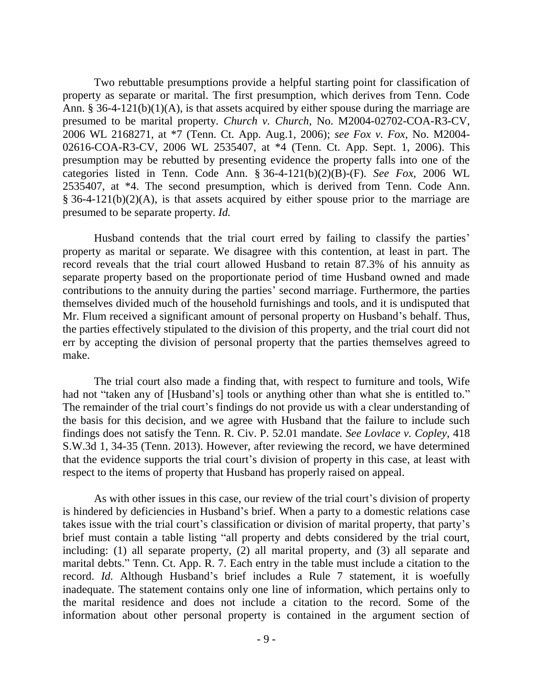Two rebuttable presumptions provide a helpful starting point for classification of property as separate or marital. The first presumption, which derives from Tenn. Code Ann. § 36-4-121(b)(1)(A), is that assets acquired by either spouse during the marriage are presumed to be marital property. *Church v. Church*, No. M2004-02702-COA-R3-CV, 2006 WL 2168271, at \*7 (Tenn. Ct. App. Aug.1, 2006); *see Fox v. Fox*, No. M2004- 02616-COA-R3-CV, 2006 WL 2535407, at \*4 (Tenn. Ct. App. Sept. 1, 2006). This presumption may be rebutted by presenting evidence the property falls into one of the categories listed in Tenn. Code Ann. § 36-4-121(b)(2)(B)-(F). *See Fox*, 2006 WL 2535407, at \*4. The second presumption, which is derived from Tenn. Code Ann.  $§$  36-4-121(b)(2)(A), is that assets acquired by either spouse prior to the marriage are presumed to be separate property. *Id.*

Husband contends that the trial court erred by failing to classify the parties' property as marital or separate. We disagree with this contention, at least in part. The record reveals that the trial court allowed Husband to retain 87.3% of his annuity as separate property based on the proportionate period of time Husband owned and made contributions to the annuity during the parties' second marriage. Furthermore, the parties themselves divided much of the household furnishings and tools, and it is undisputed that Mr. Flum received a significant amount of personal property on Husband"s behalf. Thus, the parties effectively stipulated to the division of this property, and the trial court did not err by accepting the division of personal property that the parties themselves agreed to make.

The trial court also made a finding that, with respect to furniture and tools, Wife had not "taken any of [Husband's] tools or anything other than what she is entitled to." The remainder of the trial court's findings do not provide us with a clear understanding of the basis for this decision, and we agree with Husband that the failure to include such findings does not satisfy the Tenn. R. Civ. P. 52.01 mandate. *See Lovlace v. Copley*, 418 S.W.3d 1, 34-35 (Tenn. 2013). However, after reviewing the record, we have determined that the evidence supports the trial court's division of property in this case, at least with respect to the items of property that Husband has properly raised on appeal.

As with other issues in this case, our review of the trial court's division of property is hindered by deficiencies in Husband"s brief. When a party to a domestic relations case takes issue with the trial court's classification or division of marital property, that party's brief must contain a table listing "all property and debts considered by the trial court, including: (1) all separate property, (2) all marital property, and (3) all separate and marital debts." Tenn. Ct. App. R. 7. Each entry in the table must include a citation to the record. *Id.* Although Husband's brief includes a Rule 7 statement, it is woefully inadequate. The statement contains only one line of information, which pertains only to the marital residence and does not include a citation to the record. Some of the information about other personal property is contained in the argument section of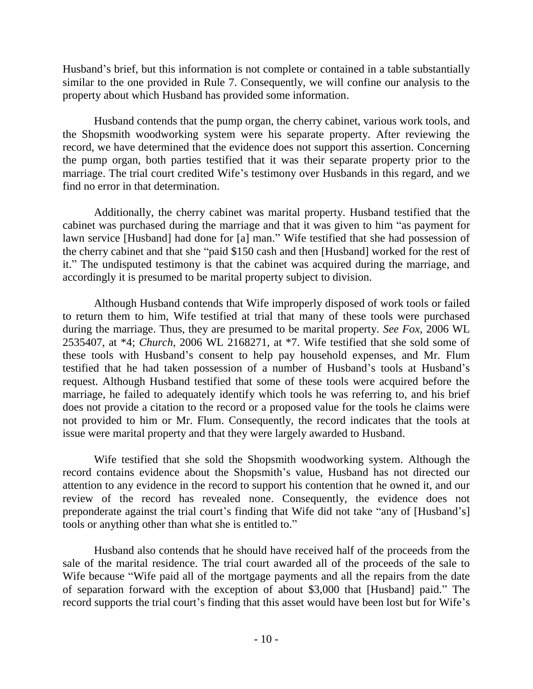Husband"s brief, but this information is not complete or contained in a table substantially similar to the one provided in Rule 7. Consequently, we will confine our analysis to the property about which Husband has provided some information.

Husband contends that the pump organ, the cherry cabinet, various work tools, and the Shopsmith woodworking system were his separate property. After reviewing the record, we have determined that the evidence does not support this assertion. Concerning the pump organ, both parties testified that it was their separate property prior to the marriage. The trial court credited Wife's testimony over Husbands in this regard, and we find no error in that determination.

Additionally, the cherry cabinet was marital property. Husband testified that the cabinet was purchased during the marriage and that it was given to him "as payment for lawn service [Husband] had done for [a] man." Wife testified that she had possession of the cherry cabinet and that she "paid \$150 cash and then [Husband] worked for the rest of it." The undisputed testimony is that the cabinet was acquired during the marriage, and accordingly it is presumed to be marital property subject to division.

Although Husband contends that Wife improperly disposed of work tools or failed to return them to him, Wife testified at trial that many of these tools were purchased during the marriage. Thus, they are presumed to be marital property. *See Fox*, 2006 WL 2535407, at \*4; *Church*, 2006 WL 2168271, at \*7. Wife testified that she sold some of these tools with Husband"s consent to help pay household expenses, and Mr. Flum testified that he had taken possession of a number of Husband"s tools at Husband"s request. Although Husband testified that some of these tools were acquired before the marriage, he failed to adequately identify which tools he was referring to, and his brief does not provide a citation to the record or a proposed value for the tools he claims were not provided to him or Mr. Flum. Consequently, the record indicates that the tools at issue were marital property and that they were largely awarded to Husband.

Wife testified that she sold the Shopsmith woodworking system. Although the record contains evidence about the Shopsmith's value, Husband has not directed our attention to any evidence in the record to support his contention that he owned it, and our review of the record has revealed none. Consequently, the evidence does not preponderate against the trial court's finding that Wife did not take "any of [Husband's] tools or anything other than what she is entitled to."

Husband also contends that he should have received half of the proceeds from the sale of the marital residence. The trial court awarded all of the proceeds of the sale to Wife because "Wife paid all of the mortgage payments and all the repairs from the date of separation forward with the exception of about \$3,000 that [Husband] paid." The record supports the trial court's finding that this asset would have been lost but for Wife's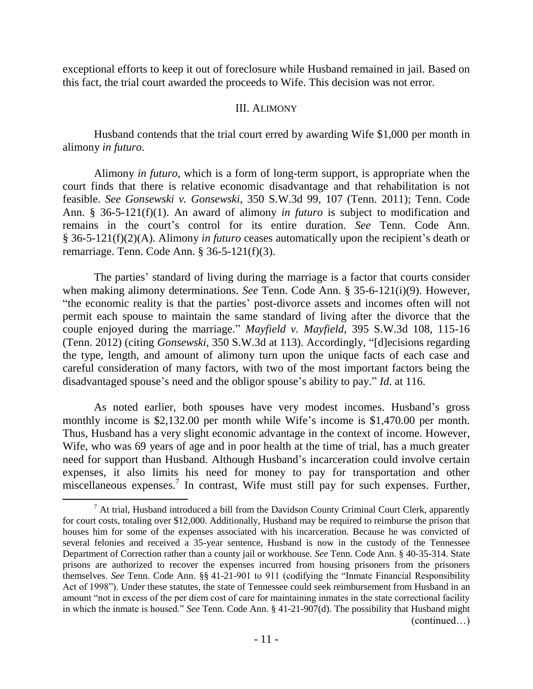exceptional efforts to keep it out of foreclosure while Husband remained in jail. Based on this fact, the trial court awarded the proceeds to Wife. This decision was not error.

#### III. ALIMONY

Husband contends that the trial court erred by awarding Wife \$1,000 per month in alimony *in futuro*.

Alimony *in futuro*, which is a form of long-term support, is appropriate when the court finds that there is relative economic disadvantage and that rehabilitation is not feasible. *See Gonsewski v. Gonsewski*, 350 S.W.3d 99, 107 (Tenn. 2011); Tenn. Code Ann. § 36-5-121(f)(1). An award of alimony *in futuro* is subject to modification and remains in the court"s control for its entire duration. *See* Tenn. Code Ann. § 36-5-121(f)(2)(A). Alimony *in futuro* ceases automatically upon the recipient"s death or remarriage. Tenn. Code Ann. § 36-5-121(f)(3).

The parties' standard of living during the marriage is a factor that courts consider when making alimony determinations. *See* Tenn. Code Ann. § 35-6-121(i)(9). However, "the economic reality is that the parties" post-divorce assets and incomes often will not permit each spouse to maintain the same standard of living after the divorce that the couple enjoyed during the marriage." *Mayfield v. Mayfield*, 395 S.W.3d 108, 115-16 (Tenn. 2012) (citing *Gonsewski*, 350 S.W.3d at 113). Accordingly, "[d]ecisions regarding the type, length, and amount of alimony turn upon the unique facts of each case and careful consideration of many factors, with two of the most important factors being the disadvantaged spouse's need and the obligor spouse's ability to pay." *Id.* at 116.

As noted earlier, both spouses have very modest incomes. Husband"s gross monthly income is \$2,132.00 per month while Wife's income is \$1,470.00 per month. Thus, Husband has a very slight economic advantage in the context of income. However, Wife, who was 69 years of age and in poor health at the time of trial, has a much greater need for support than Husband. Although Husband"s incarceration could involve certain expenses, it also limits his need for money to pay for transportation and other miscellaneous expenses.<sup>7</sup> In contrast, Wife must still pay for such expenses. Further,

 $<sup>7</sup>$  At trial, Husband introduced a bill from the Davidson County Criminal Court Clerk, apparently</sup> for court costs, totaling over \$12,000. Additionally, Husband may be required to reimburse the prison that houses him for some of the expenses associated with his incarceration. Because he was convicted of several felonies and received a 35-year sentence, Husband is now in the custody of the Tennessee Department of Correction rather than a county jail or workhouse. *See* Tenn. Code Ann. § 40-35-314. State prisons are authorized to recover the expenses incurred from housing prisoners from the prisoners themselves. *See* Tenn. Code Ann. §§ 41-21-901 to 911 (codifying the "Inmate Financial Responsibility Act of 1998"). Under these statutes, the state of Tennessee could seek reimbursement from Husband in an amount "not in excess of the per diem cost of care for maintaining inmates in the state correctional facility in which the inmate is housed." *See* Tenn. Code Ann. § 41-21-907(d). The possibility that Husband might (continued…)